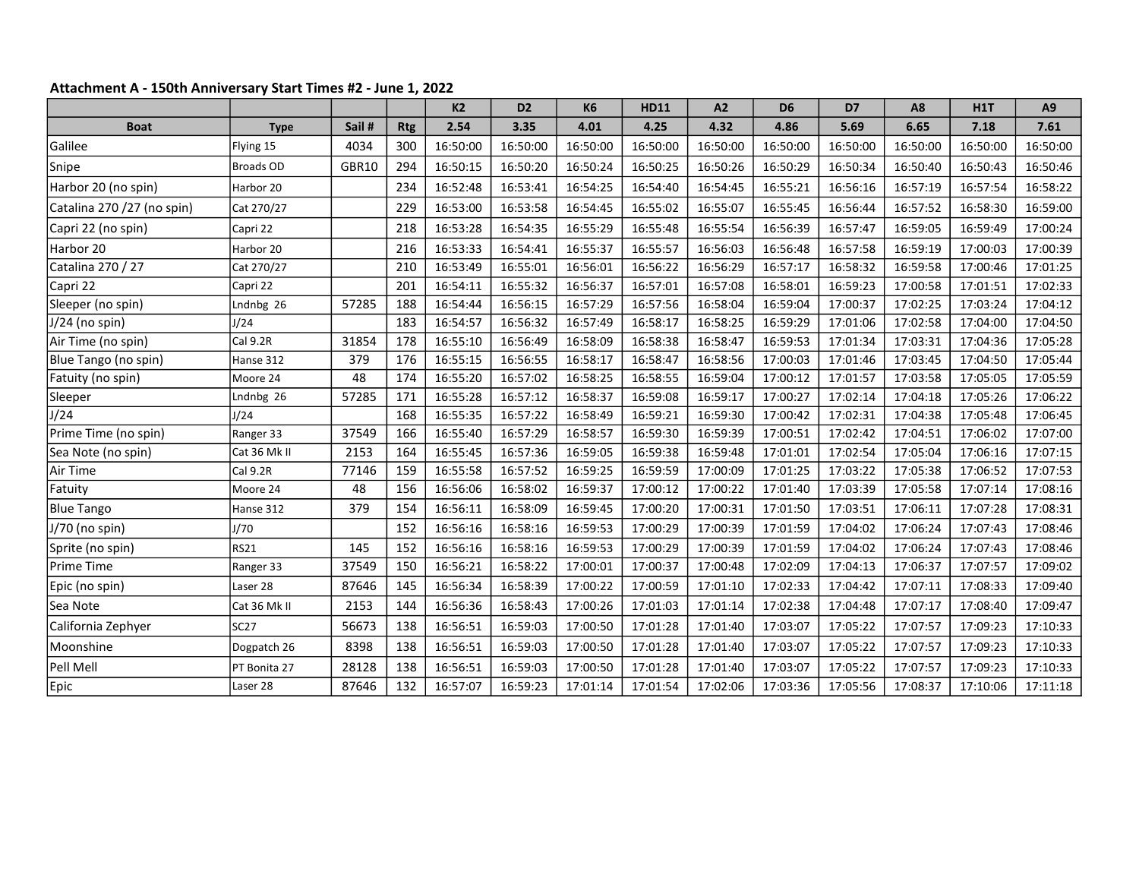## Attachment A - 150th Anniversary Start Times #2 - June 1, 2022

|                            |              |       |            | K <sub>2</sub> | D <sub>2</sub> | <b>K6</b> | <b>HD11</b> | A2       | D <sub>6</sub> | D7       | A <sub>8</sub> | H1T      | A9       |
|----------------------------|--------------|-------|------------|----------------|----------------|-----------|-------------|----------|----------------|----------|----------------|----------|----------|
| <b>Boat</b>                | <b>Type</b>  | Sail# | <b>Rtg</b> | 2.54           | 3.35           | 4.01      | 4.25        | 4.32     | 4.86           | 5.69     | 6.65           | 7.18     | 7.61     |
| Galilee                    | Flying 15    | 4034  | 300        | 16:50:00       | 16:50:00       | 16:50:00  | 16:50:00    | 16:50:00 | 16:50:00       | 16:50:00 | 16:50:00       | 16:50:00 | 16:50:00 |
| Snipe                      | Broads OD    | GBR10 | 294        | 16:50:15       | 16:50:20       | 16:50:24  | 16:50:25    | 16:50:26 | 16:50:29       | 16:50:34 | 16:50:40       | 16:50:43 | 16:50:46 |
| Harbor 20 (no spin)        | Harbor 20    |       | 234        | 16:52:48       | 16:53:41       | 16:54:25  | 16:54:40    | 16:54:45 | 16:55:21       | 16:56:16 | 16:57:19       | 16:57:54 | 16:58:22 |
| Catalina 270 /27 (no spin) | Cat 270/27   |       | 229        | 16:53:00       | 16:53:58       | 16:54:45  | 16:55:02    | 16:55:07 | 16:55:45       | 16:56:44 | 16:57:52       | 16:58:30 | 16:59:00 |
| Capri 22 (no spin)         | Capri 22     |       | 218        | 16:53:28       | 16:54:35       | 16:55:29  | 16:55:48    | 16:55:54 | 16:56:39       | 16:57:47 | 16:59:05       | 16:59:49 | 17:00:24 |
| Harbor 20                  | Harbor 20    |       | 216        | 16:53:33       | 16:54:41       | 16:55:37  | 16:55:57    | 16:56:03 | 16:56:48       | 16:57:58 | 16:59:19       | 17:00:03 | 17:00:39 |
| Catalina 270 / 27          | Cat 270/27   |       | 210        | 16:53:49       | 16:55:01       | 16:56:01  | 16:56:22    | 16:56:29 | 16:57:17       | 16:58:32 | 16:59:58       | 17:00:46 | 17:01:25 |
| Capri 22                   | Capri 22     |       | 201        | 16:54:11       | 16:55:32       | 16:56:37  | 16:57:01    | 16:57:08 | 16:58:01       | 16:59:23 | 17:00:58       | 17:01:51 | 17:02:33 |
| Sleeper (no spin)          | Lndnbg 26    | 57285 | 188        | 16:54:44       | 16:56:15       | 16:57:29  | 16:57:56    | 16:58:04 | 16:59:04       | 17:00:37 | 17:02:25       | 17:03:24 | 17:04:12 |
| $J/24$ (no spin)           | J/24         |       | 183        | 16:54:57       | 16:56:32       | 16:57:49  | 16:58:17    | 16:58:25 | 16:59:29       | 17:01:06 | 17:02:58       | 17:04:00 | 17:04:50 |
| Air Time (no spin)         | Cal 9.2R     | 31854 | 178        | 16:55:10       | 16:56:49       | 16:58:09  | 16:58:38    | 16:58:47 | 16:59:53       | 17:01:34 | 17:03:31       | 17:04:36 | 17:05:28 |
| Blue Tango (no spin)       | Hanse 312    | 379   | 176        | 16:55:15       | 16:56:55       | 16:58:17  | 16:58:47    | 16:58:56 | 17:00:03       | 17:01:46 | 17:03:45       | 17:04:50 | 17:05:44 |
| Fatuity (no spin)          | Moore 24     | 48    | 174        | 16:55:20       | 16:57:02       | 16:58:25  | 16:58:55    | 16:59:04 | 17:00:12       | 17:01:57 | 17:03:58       | 17:05:05 | 17:05:59 |
| Sleeper                    | Lndnbg 26    | 57285 | 171        | 16:55:28       | 16:57:12       | 16:58:37  | 16:59:08    | 16:59:17 | 17:00:27       | 17:02:14 | 17:04:18       | 17:05:26 | 17:06:22 |
| J/24                       | J/24         |       | 168        | 16:55:35       | 16:57:22       | 16:58:49  | 16:59:21    | 16:59:30 | 17:00:42       | 17:02:31 | 17:04:38       | 17:05:48 | 17:06:45 |
| Prime Time (no spin)       | Ranger 33    | 37549 | 166        | 16:55:40       | 16:57:29       | 16:58:57  | 16:59:30    | 16:59:39 | 17:00:51       | 17:02:42 | 17:04:51       | 17:06:02 | 17:07:00 |
| Sea Note (no spin)         | Cat 36 Mk II | 2153  | 164        | 16:55:45       | 16:57:36       | 16:59:05  | 16:59:38    | 16:59:48 | 17:01:01       | 17:02:54 | 17:05:04       | 17:06:16 | 17:07:15 |
| Air Time                   | Cal 9.2R     | 77146 | 159        | 16:55:58       | 16:57:52       | 16:59:25  | 16:59:59    | 17:00:09 | 17:01:25       | 17:03:22 | 17:05:38       | 17:06:52 | 17:07:53 |
| Fatuity                    | Moore 24     | 48    | 156        | 16:56:06       | 16:58:02       | 16:59:37  | 17:00:12    | 17:00:22 | 17:01:40       | 17:03:39 | 17:05:58       | 17:07:14 | 17:08:16 |
| <b>Blue Tango</b>          | Hanse 312    | 379   | 154        | 16:56:11       | 16:58:09       | 16:59:45  | 17:00:20    | 17:00:31 | 17:01:50       | 17:03:51 | 17:06:11       | 17:07:28 | 17:08:31 |
| J/70 (no spin)             | J/70         |       | 152        | 16:56:16       | 16:58:16       | 16:59:53  | 17:00:29    | 17:00:39 | 17:01:59       | 17:04:02 | 17:06:24       | 17:07:43 | 17:08:46 |
| Sprite (no spin)           | <b>RS21</b>  | 145   | 152        | 16:56:16       | 16:58:16       | 16:59:53  | 17:00:29    | 17:00:39 | 17:01:59       | 17:04:02 | 17:06:24       | 17:07:43 | 17:08:46 |
| Prime Time                 | Ranger 33    | 37549 | 150        | 16:56:21       | 16:58:22       | 17:00:01  | 17:00:37    | 17:00:48 | 17:02:09       | 17:04:13 | 17:06:37       | 17:07:57 | 17:09:02 |
| Epic (no spin)             | Laser 28     | 87646 | 145        | 16:56:34       | 16:58:39       | 17:00:22  | 17:00:59    | 17:01:10 | 17:02:33       | 17:04:42 | 17:07:11       | 17:08:33 | 17:09:40 |
| Sea Note                   | Cat 36 Mk II | 2153  | 144        | 16:56:36       | 16:58:43       | 17:00:26  | 17:01:03    | 17:01:14 | 17:02:38       | 17:04:48 | 17:07:17       | 17:08:40 | 17:09:47 |
| California Zephyer         | <b>SC27</b>  | 56673 | 138        | 16:56:51       | 16:59:03       | 17:00:50  | 17:01:28    | 17:01:40 | 17:03:07       | 17:05:22 | 17:07:57       | 17:09:23 | 17:10:33 |
| Moonshine                  | Dogpatch 26  | 8398  | 138        | 16:56:51       | 16:59:03       | 17:00:50  | 17:01:28    | 17:01:40 | 17:03:07       | 17:05:22 | 17:07:57       | 17:09:23 | 17:10:33 |
| Pell Mell                  | PT Bonita 27 | 28128 | 138        | 16:56:51       | 16:59:03       | 17:00:50  | 17:01:28    | 17:01:40 | 17:03:07       | 17:05:22 | 17:07:57       | 17:09:23 | 17:10:33 |
| Epic                       | Laser 28     | 87646 | 132        | 16:57:07       | 16:59:23       | 17:01:14  | 17:01:54    | 17:02:06 | 17:03:36       | 17:05:56 | 17:08:37       | 17:10:06 | 17:11:18 |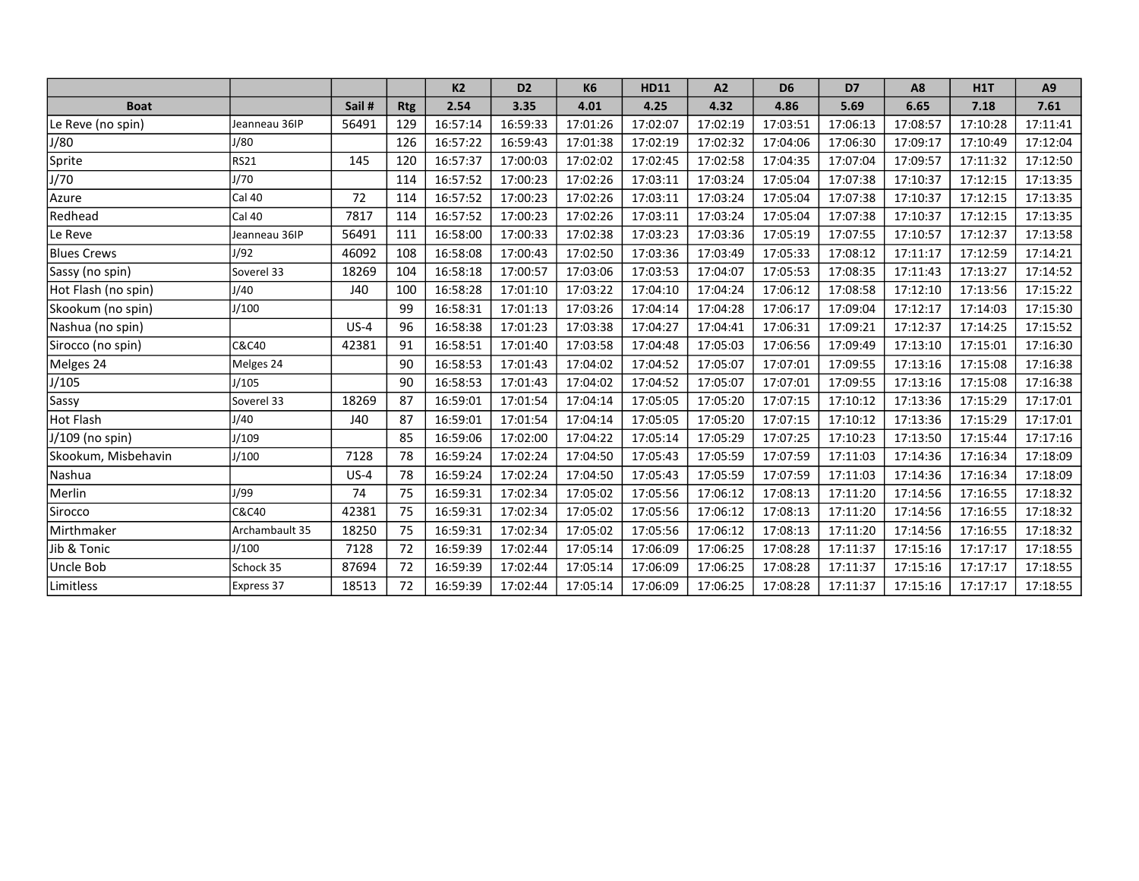|                     |                |        |            | K <sub>2</sub> | D <sub>2</sub> | <b>K6</b> | <b>HD11</b> | A2       | D <sub>6</sub> | D7       | A <sub>8</sub> | <b>H1T</b> | A9       |
|---------------------|----------------|--------|------------|----------------|----------------|-----------|-------------|----------|----------------|----------|----------------|------------|----------|
| <b>Boat</b>         |                | Sail#  | <b>Rtg</b> | 2.54           | 3.35           | 4.01      | 4.25        | 4.32     | 4.86           | 5.69     | 6.65           | 7.18       | 7.61     |
| Le Reve (no spin)   | Jeanneau 36IP  | 56491  | 129        | 16:57:14       | 16:59:33       | 17:01:26  | 17:02:07    | 17:02:19 | 17:03:51       | 17:06:13 | 17:08:57       | 17:10:28   | 17:11:41 |
| J/80                | J/80           |        | 126        | 16:57:22       | 16:59:43       | 17:01:38  | 17:02:19    | 17:02:32 | 17:04:06       | 17:06:30 | 17:09:17       | 17:10:49   | 17:12:04 |
| Sprite              | RS21           | 145    | 120        | 16:57:37       | 17:00:03       | 17:02:02  | 17:02:45    | 17:02:58 | 17:04:35       | 17:07:04 | 17:09:57       | 17:11:32   | 17:12:50 |
| J/70                | J/70           |        | 114        | 16:57:52       | 17:00:23       | 17:02:26  | 17:03:11    | 17:03:24 | 17:05:04       | 17:07:38 | 17:10:37       | 17:12:15   | 17:13:35 |
| Azure               | Cal 40         | 72     | 114        | 16:57:52       | 17:00:23       | 17:02:26  | 17:03:11    | 17:03:24 | 17:05:04       | 17:07:38 | 17:10:37       | 17:12:15   | 17:13:35 |
| Redhead             | Cal 40         | 7817   | 114        | 16:57:52       | 17:00:23       | 17:02:26  | 17:03:11    | 17:03:24 | 17:05:04       | 17:07:38 | 17:10:37       | 17:12:15   | 17:13:35 |
| Le Reve             | Jeanneau 36IP  | 56491  | 111        | 16:58:00       | 17:00:33       | 17:02:38  | 17:03:23    | 17:03:36 | 17:05:19       | 17:07:55 | 17:10:57       | 17:12:37   | 17:13:58 |
| <b>Blues Crews</b>  | J/92           | 46092  | 108        | 16:58:08       | 17:00:43       | 17:02:50  | 17:03:36    | 17:03:49 | 17:05:33       | 17:08:12 | 17:11:17       | 17:12:59   | 17:14:21 |
| Sassy (no spin)     | Soverel 33     | 18269  | 104        | 16:58:18       | 17:00:57       | 17:03:06  | 17:03:53    | 17:04:07 | 17:05:53       | 17:08:35 | 17:11:43       | 17:13:27   | 17:14:52 |
| Hot Flash (no spin) | J/40           | J40    | 100        | 16:58:28       | 17:01:10       | 17:03:22  | 17:04:10    | 17:04:24 | 17:06:12       | 17:08:58 | 17:12:10       | 17:13:56   | 17:15:22 |
| Skookum (no spin)   | J/100          |        | 99         | 16:58:31       | 17:01:13       | 17:03:26  | 17:04:14    | 17:04:28 | 17:06:17       | 17:09:04 | 17:12:17       | 17:14:03   | 17:15:30 |
| Nashua (no spin)    |                | $US-4$ | 96         | 16:58:38       | 17:01:23       | 17:03:38  | 17:04:27    | 17:04:41 | 17:06:31       | 17:09:21 | 17:12:37       | 17:14:25   | 17:15:52 |
| Sirocco (no spin)   | C&C40          | 42381  | 91         | 16:58:51       | 17:01:40       | 17:03:58  | 17:04:48    | 17:05:03 | 17:06:56       | 17:09:49 | 17:13:10       | 17:15:01   | 17:16:30 |
| Melges 24           | Melges 24      |        | 90         | 16:58:53       | 17:01:43       | 17:04:02  | 17:04:52    | 17:05:07 | 17:07:01       | 17:09:55 | 17:13:16       | 17:15:08   | 17:16:38 |
| J/105               | J/105          |        | 90         | 16:58:53       | 17:01:43       | 17:04:02  | 17:04:52    | 17:05:07 | 17:07:01       | 17:09:55 | 17:13:16       | 17:15:08   | 17:16:38 |
| Sassy               | Soverel 33     | 18269  | 87         | 16:59:01       | 17:01:54       | 17:04:14  | 17:05:05    | 17:05:20 | 17:07:15       | 17:10:12 | 17:13:36       | 17:15:29   | 17:17:01 |
| Hot Flash           | J/40           | J40    | 87         | 16:59:01       | 17:01:54       | 17:04:14  | 17:05:05    | 17:05:20 | 17:07:15       | 17:10:12 | 17:13:36       | 17:15:29   | 17:17:01 |
| J/109 (no spin)     | J/109          |        | 85         | 16:59:06       | 17:02:00       | 17:04:22  | 17:05:14    | 17:05:29 | 17:07:25       | 17:10:23 | 17:13:50       | 17:15:44   | 17:17:16 |
| Skookum, Misbehavin | J/100          | 7128   | 78         | 16:59:24       | 17:02:24       | 17:04:50  | 17:05:43    | 17:05:59 | 17:07:59       | 17:11:03 | 17:14:36       | 17:16:34   | 17:18:09 |
| Nashua              |                | $US-4$ | 78         | 16:59:24       | 17:02:24       | 17:04:50  | 17:05:43    | 17:05:59 | 17:07:59       | 17:11:03 | 17:14:36       | 17:16:34   | 17:18:09 |
| Merlin              | J/99           | 74     | 75         | 16:59:31       | 17:02:34       | 17:05:02  | 17:05:56    | 17:06:12 | 17:08:13       | 17:11:20 | 17:14:56       | 17:16:55   | 17:18:32 |
| Sirocco             | C&C40          | 42381  | 75         | 16:59:31       | 17:02:34       | 17:05:02  | 17:05:56    | 17:06:12 | 17:08:13       | 17:11:20 | 17:14:56       | 17:16:55   | 17:18:32 |
| Mirthmaker          | Archambault 35 | 18250  | 75         | 16:59:31       | 17:02:34       | 17:05:02  | 17:05:56    | 17:06:12 | 17:08:13       | 17:11:20 | 17:14:56       | 17:16:55   | 17:18:32 |
| Jib & Tonic         | J/100          | 7128   | 72         | 16:59:39       | 17:02:44       | 17:05:14  | 17:06:09    | 17:06:25 | 17:08:28       | 17:11:37 | 17:15:16       | 17:17:17   | 17:18:55 |
| Uncle Bob           | Schock 35      | 87694  | 72         | 16:59:39       | 17:02:44       | 17:05:14  | 17:06:09    | 17:06:25 | 17:08:28       | 17:11:37 | 17:15:16       | 17:17:17   | 17:18:55 |
| Limitless           | Express 37     | 18513  | 72         | 16:59:39       | 17:02:44       | 17:05:14  | 17:06:09    | 17:06:25 | 17:08:28       | 17:11:37 | 17:15:16       | 17:17:17   | 17:18:55 |